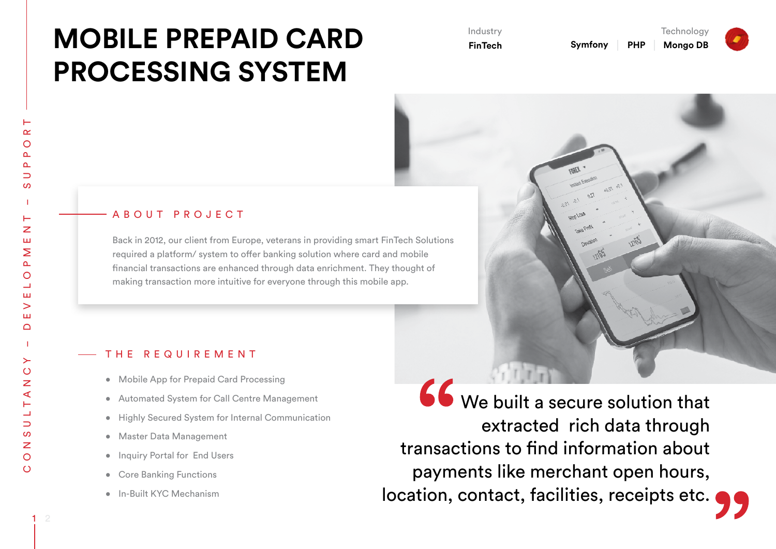## **MOBILE PREPAID CARD PROCESSING SYSTEM**

Industry **FinTech**  **Technology Mongo DB**

## A B O U T P R O J E C T

Back in 2012, our client from Europe, veterans in providing smart FinTech Solutions required a platform/ system to offer banking solution where card and mobile financial transactions are enhanced through data enrichment. They thought of making transaction more intuitive for everyone through this mobile app.

## THE REQUIREMENT

- Mobile App for Prepaid Card Processing
- • Automated System for Call Centre Management
- • Highly Secured System for Internal Communication
- • Master Data Management
- Inquiry Portal for End Users
- Core Banking Functions
- • In-Built KYC Mechanism

66 We built a secure solution that extracted rich data through transactions to find information about payments like merchant open hours, location, contact, facilities, receipts etc.